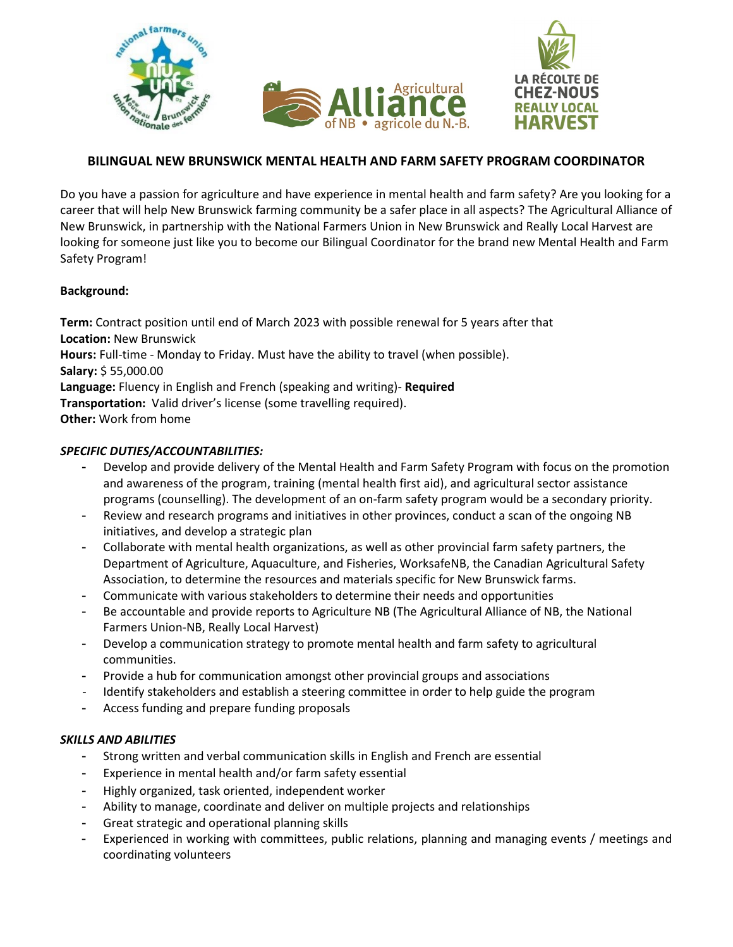

## **BILINGUAL NEW BRUNSWICK MENTAL HEALTH AND FARM SAFETY PROGRAM COORDINATOR**

Do you have a passion for agriculture and have experience in mental health and farm safety? Are you looking for a career that will help New Brunswick farming community be a safer place in all aspects? The Agricultural Alliance of New Brunswick, in partnership with the National Farmers Union in New Brunswick and Really Local Harvest are looking for someone just like you to become our Bilingual Coordinator for the brand new Mental Health and Farm Safety Program!

## **Background:**

**Term:** Contract position until end of March 2023 with possible renewal for 5 years after that **Location:** New Brunswick **Hours:** Full-time - Monday to Friday. Must have the ability to travel (when possible). **Salary:** \$ 55,000.00 **Language:** Fluency in English and French (speaking and writing)- **Required Transportation:** Valid driver's license (some travelling required). **Other:** Work from home

## *SPECIFIC DUTIES/ACCOUNTABILITIES:*

- Develop and provide delivery of the Mental Health and Farm Safety Program with focus on the promotion and awareness of the program, training (mental health first aid), and agricultural sector assistance programs (counselling). The development of an on-farm safety program would be a secondary priority.
- Review and research programs and initiatives in other provinces, conduct a scan of the ongoing NB initiatives, and develop a strategic plan
- Collaborate with mental health organizations, as well as other provincial farm safety partners, the Department of Agriculture, Aquaculture, and Fisheries, WorksafeNB, the Canadian Agricultural Safety Association, to determine the resources and materials specific for New Brunswick farms.
- Communicate with various stakeholders to determine their needs and opportunities
- Be accountable and provide reports to Agriculture NB (The Agricultural Alliance of NB, the National Farmers Union-NB, Really Local Harvest)
- Develop a communication strategy to promote mental health and farm safety to agricultural communities.
- Provide a hub for communication amongst other provincial groups and associations
- Identify stakeholders and establish a steering committee in order to help guide the program
- Access funding and prepare funding proposals

## *SKILLS AND ABILITIES*

- Strong written and verbal communication skills in English and French are essential
- Experience in mental health and/or farm safety essential
- Highly organized, task oriented, independent worker
- Ability to manage, coordinate and deliver on multiple projects and relationships
- Great strategic and operational planning skills
- Experienced in working with committees, public relations, planning and managing events / meetings and coordinating volunteers